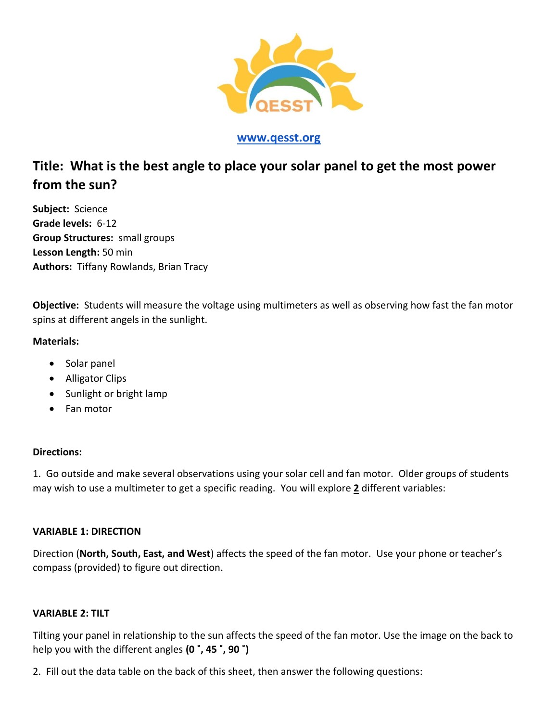

# **[www.qesst.org](http://www.qesst.org/)**

# **Title: What is the best angle to place your solar panel to get the most power from the sun?**

**Subject:** Science **Grade levels:** 6-12 **Group Structures:** small groups **Lesson Length:** 50 min **Authors:** Tiffany Rowlands, Brian Tracy

**Objective:** Students will measure the voltage using multimeters as well as observing how fast the fan motor spins at different angels in the sunlight.

## **Materials:**

- Solar panel
- Alligator Clips
- Sunlight or bright lamp
- Fan motor

#### **Directions:**

1. Go outside and make several observations using your solar cell and fan motor. Older groups of students may wish to use a multimeter to get a specific reading. You will explore **2** different variables:

## **VARIABLE 1: DIRECTION**

Direction (**North, South, East, and West**) affects the speed of the fan motor. Use your phone or teacher's compass (provided) to figure out direction.

#### **VARIABLE 2: TILT**

Tilting your panel in relationship to the sun affects the speed of the fan motor. Use the image on the back to help you with the different angles **(0 ˚, 45 ˚, 90 ˚)**

2. Fill out the data table on the back of this sheet, then answer the following questions: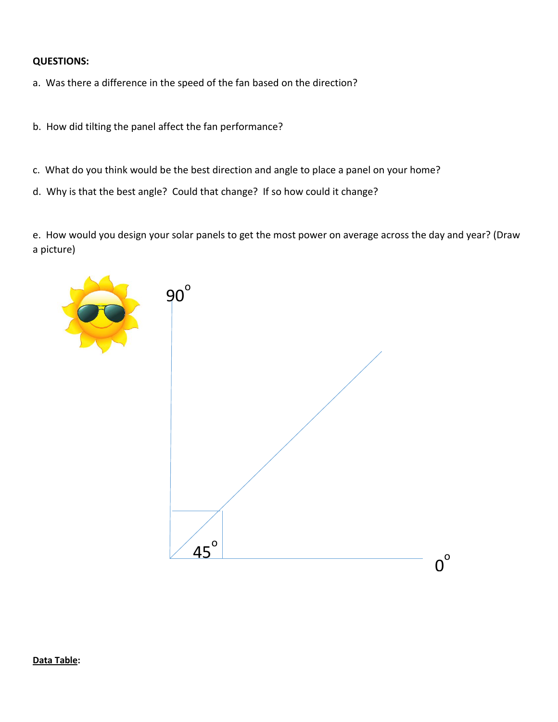## **QUESTIONS:**

- a. Was there a difference in the speed of the fan based on the direction?
- b. How did tilting the panel affect the fan performance?
- c. What do you think would be the best direction and angle to place a panel on your home?
- d. Why is that the best angle? Could that change? If so how could it change?

e. How would you design your solar panels to get the most power on average across the day and year? (Draw a picture)